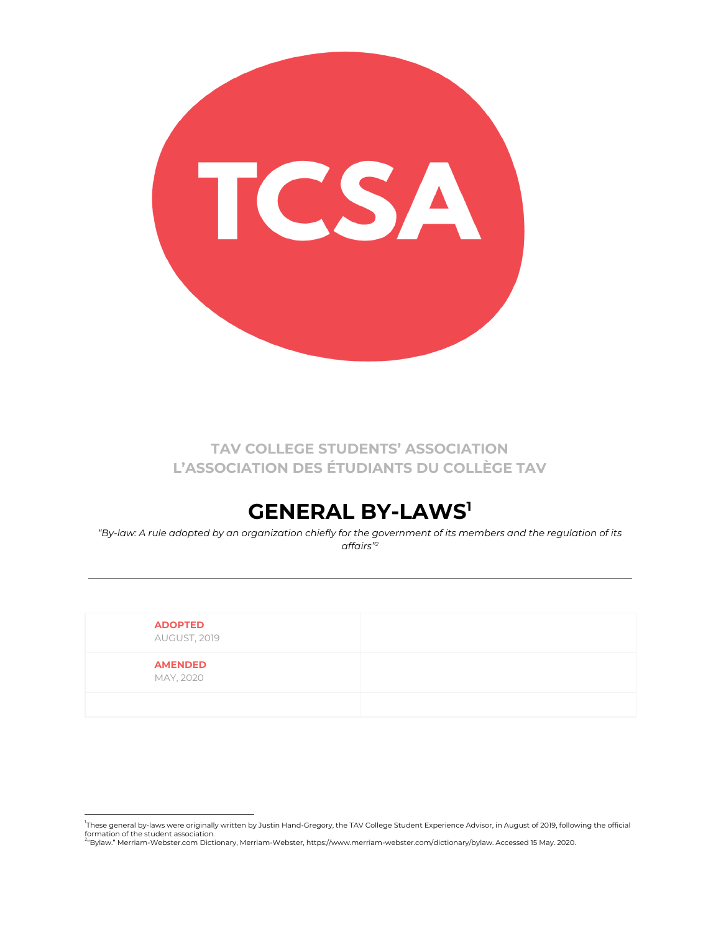

**TAV COLLEGE STUDENTS' ASSOCIATION L'ASSOCIATION DES ÉTUDIANTS DU COLLÈGE TAV**

# **GENERAL BY-LAWS 1**

"By-law: A rule adopted by an organization chiefly for the government of its members and the regulation of its *affairs" 2*

| <b>ADOPTED</b><br>AUGUST, 2019 |  |
|--------------------------------|--|
| <b>AMENDED</b><br>MAY, 2020    |  |
|                                |  |

<sup>.&</sup>lt;br>These general by-laws were originally written by Justin Hand-Gregory, the TAV College Student Experience Advisor, in August of 2019, following the official formation of the student association.<br><sup>2</sup>"Bylaw." Merriam-Webster.com Dictionary, Merriam-Webster, https://www.merriam-webster.com/dictionary/bylaw. Accessed 15 May. 2020.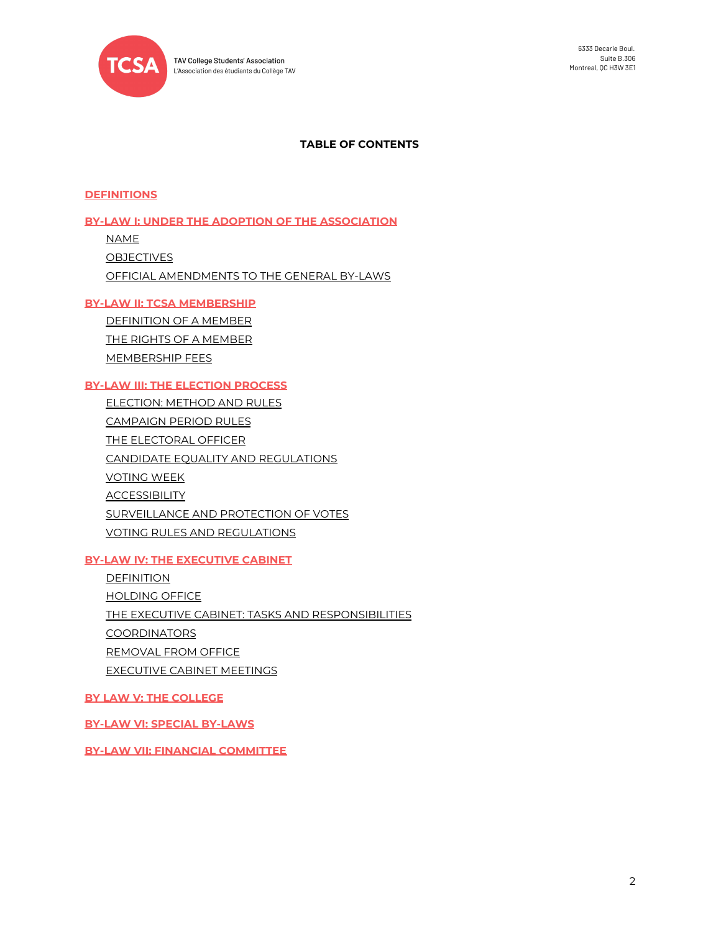

## **TABLE OF CONTENTS**

#### **[DEFINITIONS](#page-2-0)**

#### **BY-LAW I: UNDER THE ADOPTION OF THE [ASSOCIATION](#page-3-0)**

[NAME](#page-3-1) [OBJECTIVES](#page-3-2) OFFICIAL [AMENDMENTS](#page-3-3) TO THE GENERAL BY-LAWS

#### **BY-LAW II: TCSA [MEMBERSHIP](#page-3-4)**

[DEFINITION](#page-3-5) OF A MEMBER THE RIGHTS OF A [MEMBER](#page-4-0) [MEMBERSHIP](#page-4-1) FEES

# **BY-LAW III: THE [ELECTION](#page-4-2) PROCESS**

[ELECTION:](#page-5-0) METHOD AND RULES [CAMPAIGN](#page-5-1) PERIOD RULES THE [ELECTORAL](#page-5-2) OFFICER CANDIDATE EQUALITY AND [REGULATIONS](#page-6-0) [VOTING](#page-6-1) WEEK **[ACCESSIBILITY](#page-7-0)** [SURVEILLANCE](#page-7-1) AND PROTECTION OF VOTES VOTING RULES AND [REGULATIONS](#page-7-2)

#### **BY-LAW IV: THE [EXECUTIVE](#page-7-3) CABINET**

[DEFINITION](#page-8-0) [HOLDING](#page-8-1) OFFICE THE EXECUTIVE CABINET: TASKS AND [RESPONSIBILITIES](#page-8-2) [COORDINATORS](#page-10-0) [REMOVAL](#page-10-1) FROM OFFICE [EXECUTIVE](#page-11-0) CABINET MEETINGS

**BY LAW V: THE [COLLEGE](#page-11-1)**

**BY-LAW VI: SPECIAL [BY-LAWS](#page-12-0)**

**BY-LAW VII: FINANCIAL [COMMITTEE](#page-12-1)**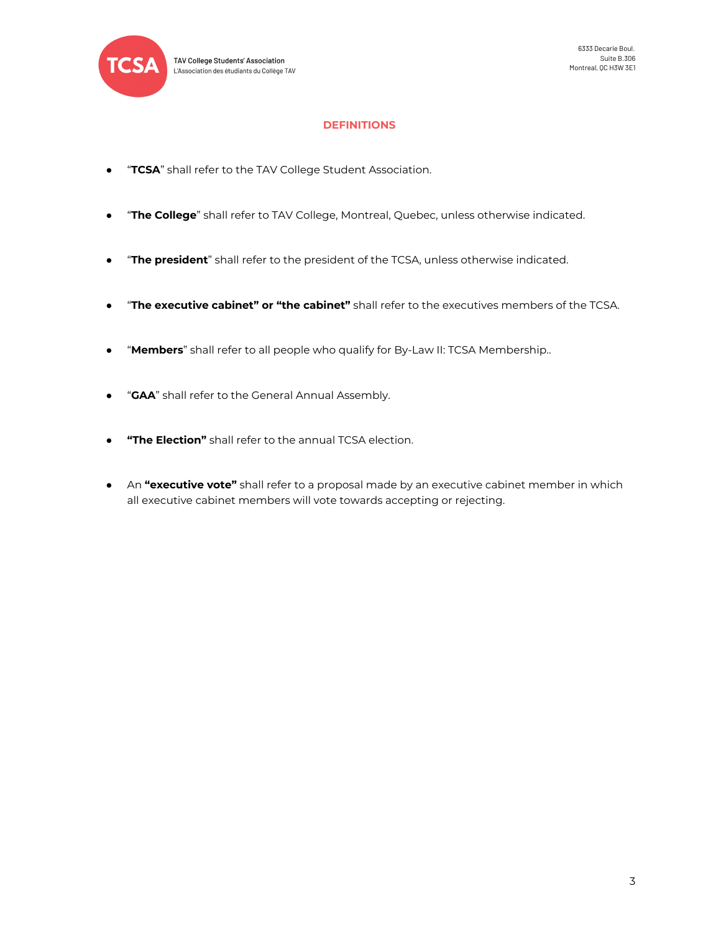

## **DEFINITIONS**

- <span id="page-2-0"></span>● "**TCSA**" shall refer to the TAV College Student Association.
- "**The College**" shall refer to TAV College, Montreal, Quebec, unless otherwise indicated.
- "**The president**" shall refer to the president of the TCSA, unless otherwise indicated.
- "**The executive cabinet" or "the cabinet"** shall refer to the executives members of the TCSA.
- "**Members**" shall refer to all people who qualify for By-Law II: TCSA Membership..
- "**GAA**" shall refer to the General Annual Assembly.
- **"The Election"** shall refer to the annual TCSA election.
- An **"executive vote"** shall refer to a proposal made by an executive cabinet member in which all executive cabinet members will vote towards accepting or rejecting.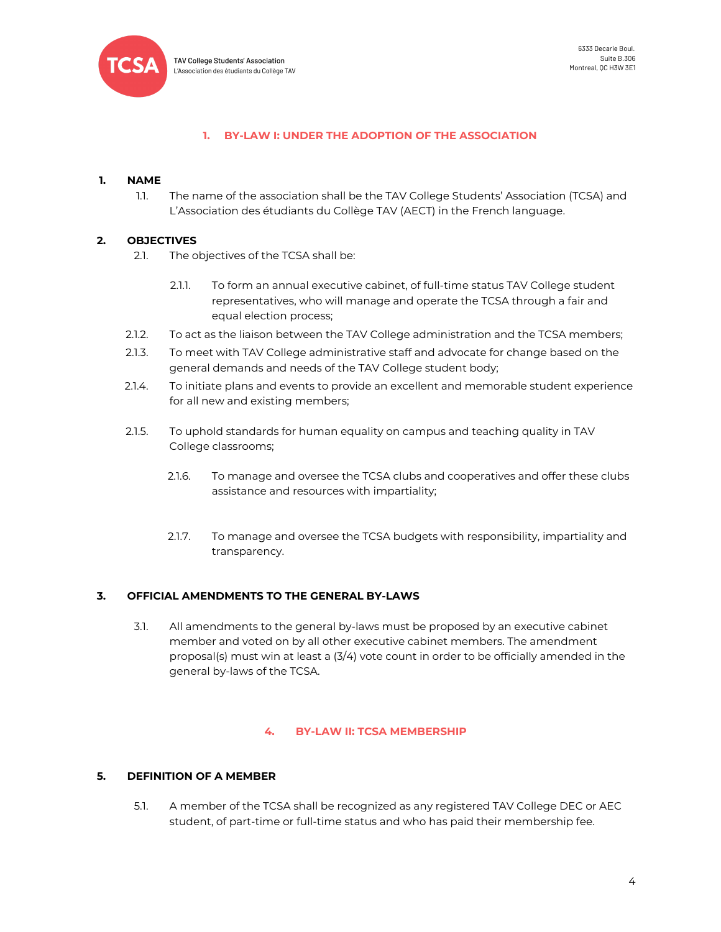

## **1. BY-LAW I: UNDER THE ADOPTION OF THE ASSOCIATION**

## <span id="page-3-1"></span><span id="page-3-0"></span>**1. NAME**

1.1. The name of the association shall be the TAV College Students' Association (TCSA) and L'Association des étudiants du Collège TAV (AECT) in the French language.

## <span id="page-3-2"></span>**2. OBJECTIVES**

- 2.1. The objectives of the TCSA shall be:
	- 2.1.1. To form an annual executive cabinet, of full-time status TAV College student representatives, who will manage and operate the TCSA through a fair and equal election process;
- 2.1.2. To act as the liaison between the TAV College administration and the TCSA members;
- 2.1.3. To meet with TAV College administrative staff and advocate for change based on the general demands and needs of the TAV College student body;
- 2.1.4. To initiate plans and events to provide an excellent and memorable student experience for all new and existing members;
- 2.1.5. To uphold standards for human equality on campus and teaching quality in TAV College classrooms;
	- 2.1.6. To manage and oversee the TCSA clubs and cooperatives and offer these clubs assistance and resources with impartiality;
	- 2.1.7. To manage and oversee the TCSA budgets with responsibility, impartiality and transparency.

## <span id="page-3-3"></span>**3. OFFICIAL AMENDMENTS TO THE GENERAL BY-LAWS**

3.1. All amendments to the general by-laws must be proposed by an executive cabinet member and voted on by all other executive cabinet members. The amendment proposal(s) must win at least a (3/4) vote count in order to be officially amended in the general by-laws of the TCSA.

## **4. BY-LAW II: TCSA MEMBERSHIP**

# <span id="page-3-5"></span><span id="page-3-4"></span>**5. DEFINITION OF A MEMBER**

5.1. A member of the TCSA shall be recognized as any registered TAV College DEC or AEC student, of part-time or full-time status and who has paid their membership fee.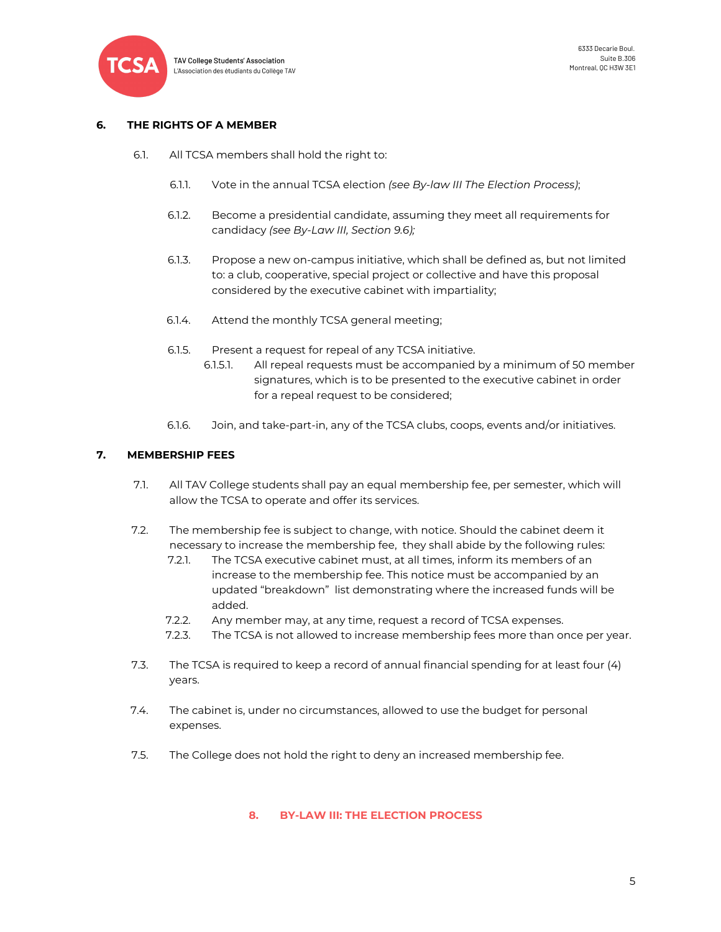

## <span id="page-4-0"></span>**6. THE RIGHTS OF A MEMBER**

- 6.1. All TCSA members shall hold the right to:
	- 6.1.1. Vote in the annual TCSA election *(see By-law III The Election Process)*;
	- 6.1.2. Become a presidential candidate, assuming they meet all requirements for candidacy *(see By-Law III, Section 9.6);*
	- 6.1.3. Propose a new on-campus initiative, which shall be defined as, but not limited to: a club, cooperative, special project or collective and have this proposal considered by the executive cabinet with impartiality;
	- 6.1.4. Attend the monthly TCSA general meeting;
	- 6.1.5. Present a request for repeal of any TCSA initiative.
		- 6.1.5.1. All repeal requests must be accompanied by a minimum of 50 member signatures, which is to be presented to the executive cabinet in order for a repeal request to be considered;
	- 6.1.6. Join, and take-part-in, any of the TCSA clubs, coops, events and/or initiatives.

## <span id="page-4-1"></span>**7. MEMBERSHIP FEES**

- 7.1. All TAV College students shall pay an equal membership fee, per semester, which will allow the TCSA to operate and offer its services.
- 7.2. The membership fee is subject to change, with notice. Should the cabinet deem it necessary to increase the membership fee, they shall abide by the following rules:
	- 7.2.1. The TCSA executive cabinet must, at all times, inform its members of an increase to the membership fee. This notice must be accompanied by an updated "breakdown" list demonstrating where the increased funds will be added.
	- 7.2.2. Any member may, at any time, request a record of TCSA expenses.
	- 7.2.3. The TCSA is not allowed to increase membership fees more than once per year.
- 7.3. The TCSA is required to keep a record of annual financial spending for at least four (4) years.
- 7.4. The cabinet is, under no circumstances, allowed to use the budget for personal expenses.
- <span id="page-4-2"></span>7.5. The College does not hold the right to deny an increased membership fee.

## **8. BY-LAW III: THE ELECTION PROCESS**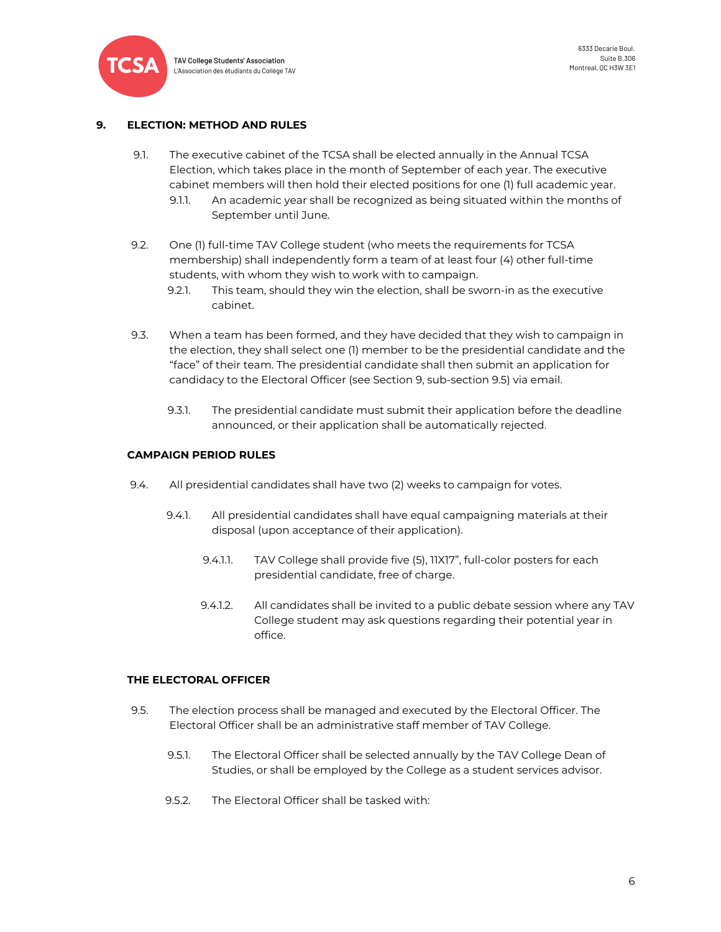

## <span id="page-5-0"></span>**9. ELECTION: METHOD AND RULES**

- 9.1. The executive cabinet of the TCSA shall be elected annually in the Annual TCSA Election, which takes place in the month of September of each year. The executive cabinet members will then hold their elected positions for one (1) full academic year.
	- 9.1.1. An academic year shall be recognized as being situated within the months of September until June.
- 9.2. One (1) full-time TAV College student (who meets the requirements for TCSA membership) shall independently form a team of at least four (4) other full-time students, with whom they wish to work with to campaign.
	- 9.2.1. This team, should they win the election, shall be sworn-in as the executive cabinet.
- 9.3. When a team has been formed, and they have decided that they wish to campaign in the election, they shall select one (1) member to be the presidential candidate and the "face" of their team. The presidential candidate shall then submit an application for candidacy to the Electoral Officer (see Section 9, sub-section 9.5) via email.
	- 9.3.1. The presidential candidate must submit their application before the deadline announced, or their application shall be automatically rejected.

## <span id="page-5-1"></span>**CAMPAIGN PERIOD RULES**

- 9.4. All presidential candidates shall have two (2) weeks to campaign for votes.
	- 9.4.1. All presidential candidates shall have equal campaigning materials at their disposal (upon acceptance of their application).
		- 9.4.1.1. TAV College shall provide five (5), 11X17", full-color posters for each presidential candidate, free of charge.
		- 9.4.1.2. All candidates shall be invited to a public debate session where any TAV College student may ask questions regarding their potential year in office.

## <span id="page-5-2"></span>**THE ELECTORAL OFFICER**

- 9.5. The election process shall be managed and executed by the Electoral Officer. The Electoral Officer shall be an administrative staff member of TAV College.
	- 9.5.1. The Electoral Officer shall be selected annually by the TAV College Dean of Studies, or shall be employed by the College as a student services advisor.
	- 9.5.2. The Electoral Officer shall be tasked with: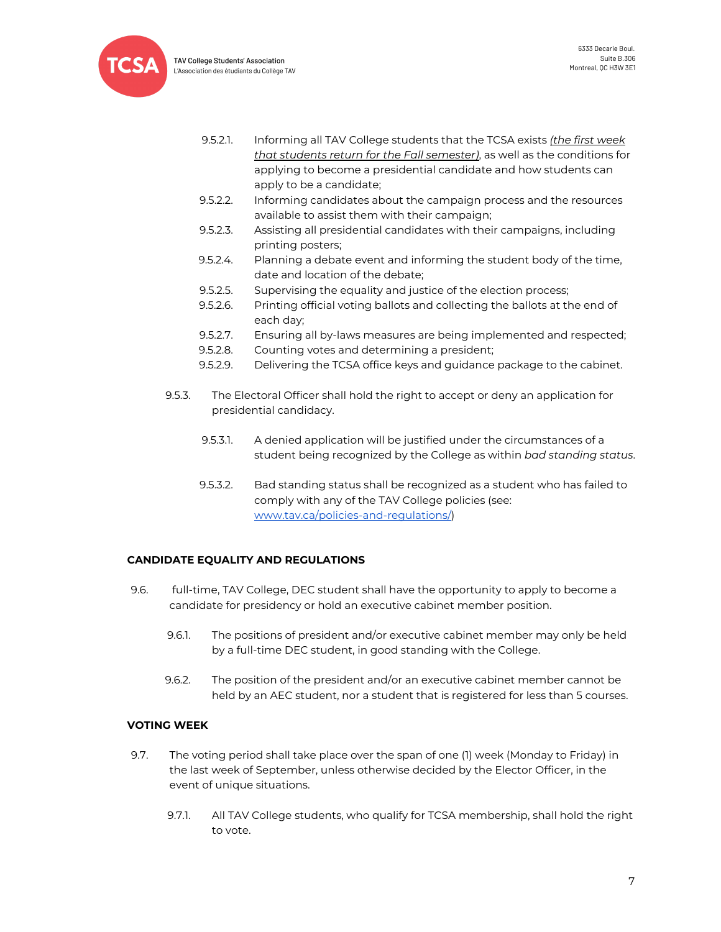

**TAV College Students' Association** L'Association des étudiants du Collège TAV

- 9.5.2.1. Informing all TAV College students that the TCSA exists *(the first week that students return for the Fall semester)*, as well as the conditions for applying to become a presidential candidate and how students can apply to be a candidate;
- 9.5.2.2. Informing candidates about the campaign process and the resources available to assist them with their campaign;
- 9.5.2.3. Assisting all presidential candidates with their campaigns, including printing posters;
- 9.5.2.4. Planning a debate event and informing the student body of the time, date and location of the debate;
- 9.5.2.5. Supervising the equality and justice of the election process;
- 9.5.2.6. Printing official voting ballots and collecting the ballots at the end of each day;
- 9.5.2.7. Ensuring all by-laws measures are being implemented and respected;
- 9.5.2.8. Counting votes and determining a president;
- 9.5.2.9. Delivering the TCSA office keys and guidance package to the cabinet.
- 9.5.3. The Electoral Officer shall hold the right to accept or deny an application for presidential candidacy.
	- 9.5.3.1. A denied application will be justified under the circumstances of a student being recognized by the College as within *bad standing status*.
	- 9.5.3.2. Bad standing status shall be recognized as a student who has failed to comply with any of the TAV College policies (see: [www.tav.ca/policies-and-regulations/](http://www.tav.ca/policies-and-regulations/))

# <span id="page-6-0"></span>**CANDIDATE EQUALITY AND REGULATIONS**

- 9.6. full-time, TAV College, DEC student shall have the opportunity to apply to become a candidate for presidency or hold an executive cabinet member position.
	- 9.6.1. The positions of president and/or executive cabinet member may only be held by a full-time DEC student, in good standing with the College.
	- 9.6.2. The position of the president and/or an executive cabinet member cannot be held by an AEC student, nor a student that is registered for less than 5 courses.

# <span id="page-6-1"></span>**VOTING WEEK**

- 9.7. The voting period shall take place over the span of one (1) week (Monday to Friday) in the last week of September, unless otherwise decided by the Elector Officer, in the event of unique situations.
	- 9.7.1. All TAV College students, who qualify for TCSA membership, shall hold the right to vote.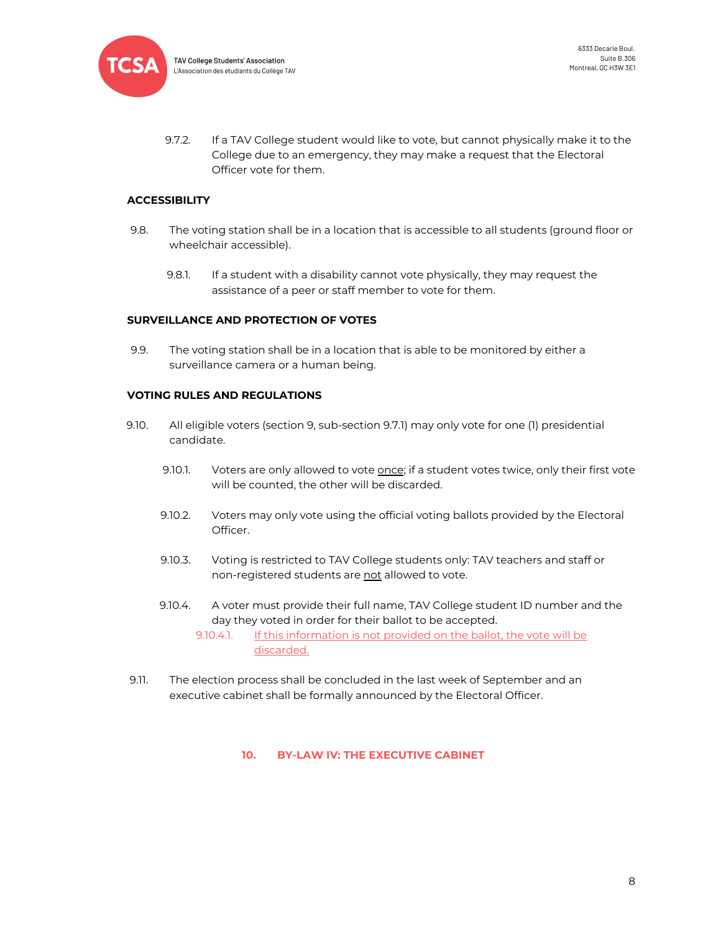

9.7.2. If a TAV College student would like to vote, but cannot physically make it to the College due to an emergency, they may make a request that the Electoral Officer vote for them.

#### <span id="page-7-0"></span>**ACCESSIBILITY**

- 9.8. The voting station shall be in a location that is accessible to all students (ground floor or wheelchair accessible).
	- 9.8.1. If a student with a disability cannot vote physically, they may request the assistance of a peer or staff member to vote for them.

#### <span id="page-7-1"></span>**SURVEILLANCE AND PROTECTION OF VOTES**

9.9. The voting station shall be in a location that is able to be monitored by either a surveillance camera or a human being.

#### <span id="page-7-2"></span>**VOTING RULES AND REGULATIONS**

- 9.10. All eligible voters (section 9, sub-section 9.7.1) may only vote for one (1) presidential candidate.
	- 9.10.1. Voters are only allowed to vote once; if a student votes twice, only their first vote will be counted, the other will be discarded.
	- 9.10.2. Voters may only vote using the official voting ballots provided by the Electoral Officer.
	- 9.10.3. Voting is restricted to TAV College students only: TAV teachers and staff or non-registered students are not allowed to vote.
	- 9.10.4. A voter must provide their full name, TAV College student ID number and the day they voted in order for their ballot to be accepted.

9.10.4.1. If this information is not provided on the ballot, the vote will be discarded.

<span id="page-7-3"></span>9.11. The election process shall be concluded in the last week of September and an executive cabinet shall be formally announced by the Electoral Officer.

**10. BY-LAW IV: THE EXECUTIVE CABINET**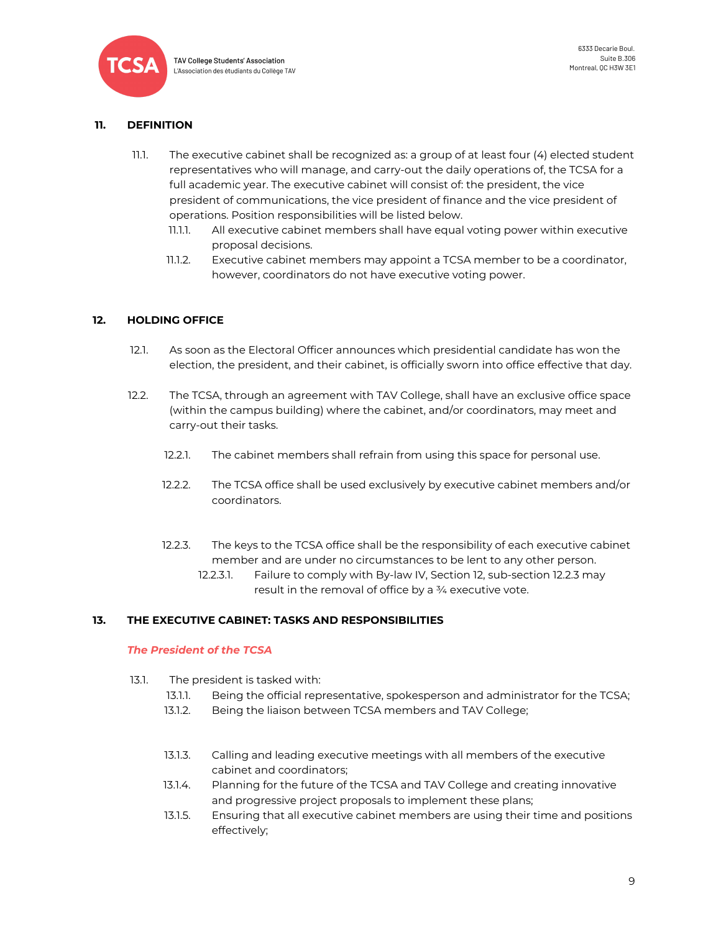

## <span id="page-8-0"></span>**11. DEFINITION**

- 11.1. The executive cabinet shall be recognized as: a group of at least four (4) elected student representatives who will manage, and carry-out the daily operations of, the TCSA for a full academic year. The executive cabinet will consist of: the president, the vice president of communications, the vice president of finance and the vice president of operations. Position responsibilities will be listed below.
	- 11.1.1. All executive cabinet members shall have equal voting power within executive proposal decisions.
	- 11.1.2. Executive cabinet members may appoint a TCSA member to be a coordinator, however, coordinators do not have executive voting power.

## <span id="page-8-1"></span>**12. HOLDING OFFICE**

- 12.1. As soon as the Electoral Officer announces which presidential candidate has won the election, the president, and their cabinet, is officially sworn into office effective that day.
- 12.2. The TCSA, through an agreement with TAV College, shall have an exclusive office space (within the campus building) where the cabinet, and/or coordinators, may meet and carry-out their tasks.
	- 12.2.1. The cabinet members shall refrain from using this space for personal use.
	- 12.2.2. The TCSA office shall be used exclusively by executive cabinet members and/or coordinators.
	- 12.2.3. The keys to the TCSA office shall be the responsibility of each executive cabinet member and are under no circumstances to be lent to any other person.
		- 12.2.3.1. Failure to comply with By-law IV, Section 12, sub-section 12.2.3 may result in the removal of office by a ¾ executive vote.

# <span id="page-8-2"></span>**13. THE EXECUTIVE CABINET: TASKS AND RESPONSIBILITIES**

## *The President of the TCSA*

- 13.1. The president is tasked with:
	- 13.1.1. Being the official representative, spokesperson and administrator for the TCSA;
		- 13.1.2. Being the liaison between TCSA members and TAV College;
		- 13.1.3. Calling and leading executive meetings with all members of the executive cabinet and coordinators;
		- 13.1.4. Planning for the future of the TCSA and TAV College and creating innovative and progressive project proposals to implement these plans;
		- 13.1.5. Ensuring that all executive cabinet members are using their time and positions effectively;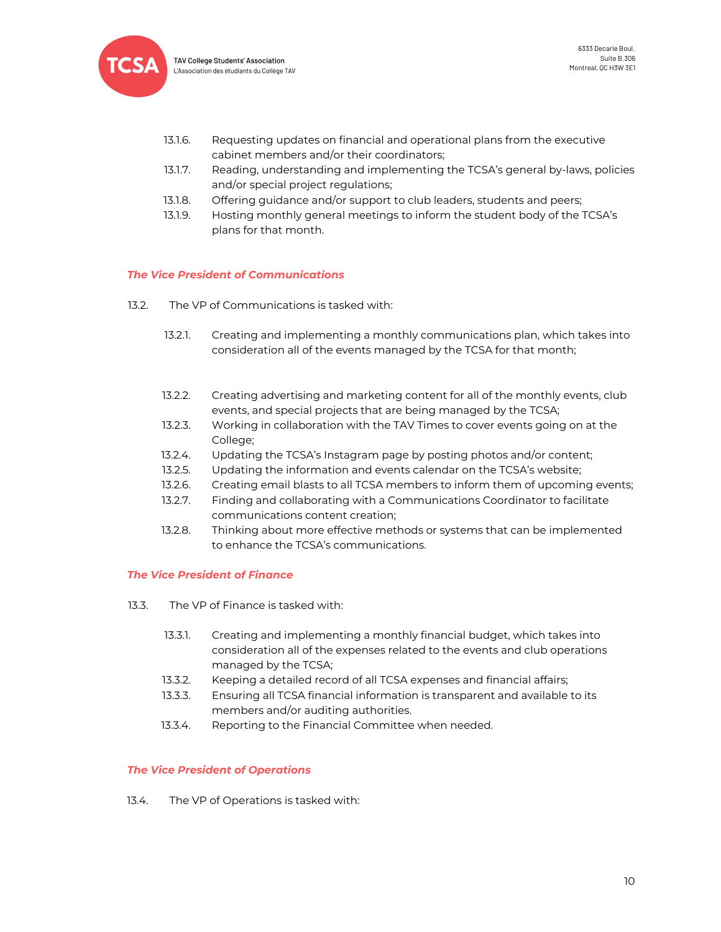

TAV College Students' Association L'Association des étudiants du Collège TAV

- 13.1.6. Requesting updates on financial and operational plans from the executive cabinet members and/or their coordinators;
- 13.1.7. Reading, understanding and implementing the TCSA's general by-laws, policies and/or special project regulations;
- 13.1.8. Offering guidance and/or support to club leaders, students and peers;
- 13.1.9. Hosting monthly general meetings to inform the student body of the TCSA's plans for that month.

## *The Vice President of Communications*

- 13.2. The VP of Communications is tasked with:
	- 13.2.1. Creating and implementing a monthly communications plan, which takes into consideration all of the events managed by the TCSA for that month;
	- 13.2.2. Creating advertising and marketing content for all of the monthly events, club events, and special projects that are being managed by the TCSA;
	- 13.2.3. Working in collaboration with the TAV Times to cover events going on at the College;
	- 13.2.4. Updating the TCSA's Instagram page by posting photos and/or content;
	- 13.2.5. Updating the information and events calendar on the TCSA's website;
	- 13.2.6. Creating email blasts to all TCSA members to inform them of upcoming events;
	- 13.2.7. Finding and collaborating with a Communications Coordinator to facilitate communications content creation;
	- 13.2.8. Thinking about more effective methods or systems that can be implemented to enhance the TCSA's communications.

## *The Vice President of Finance*

- 13.3. The VP of Finance is tasked with:
	- 13.3.1. Creating and implementing a monthly financial budget, which takes into consideration all of the expenses related to the events and club operations managed by the TCSA;
	- 13.3.2. Keeping a detailed record of all TCSA expenses and financial affairs;
	- 13.3.3. Ensuring all TCSA financial information is transparent and available to its members and/or auditing authorities.
	- 13.3.4. Reporting to the Financial Committee when needed.

## *The Vice President of Operations*

13.4. The VP of Operations is tasked with: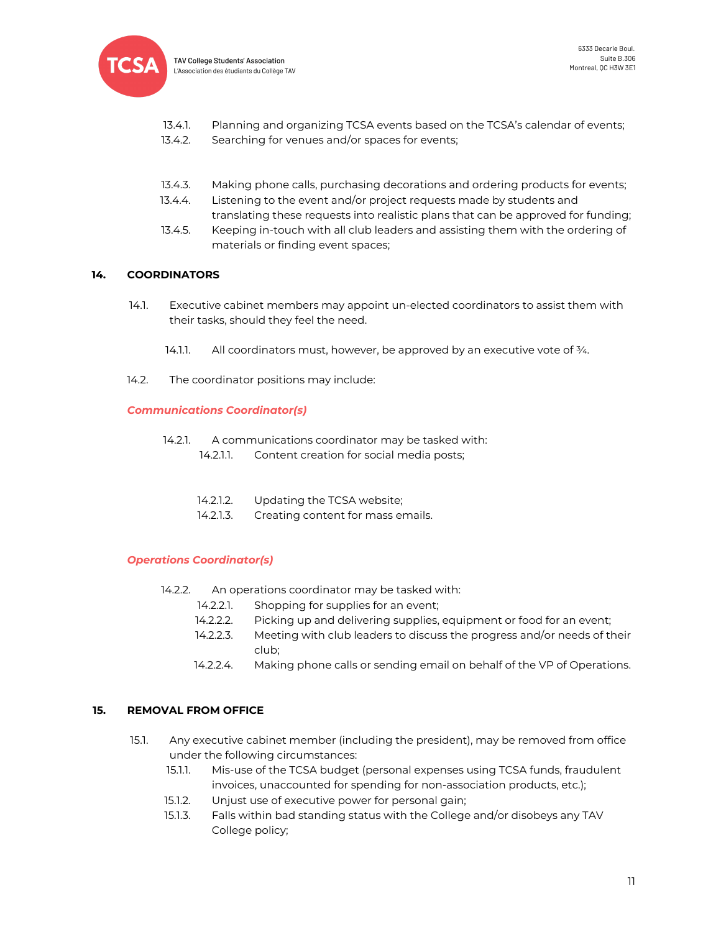

- 13.4.1. Planning and organizing TCSA events based on the TCSA's calendar of events;
- 13.4.2. Searching for venues and/or spaces for events;
- 13.4.3. Making phone calls, purchasing decorations and ordering products for events;
- 13.4.4. Listening to the event and/or project requests made by students and
- translating these requests into realistic plans that can be approved for funding; 13.4.5. Keeping in-touch with all club leaders and assisting them with the ordering of
- materials or finding event spaces;

## <span id="page-10-0"></span>**14. COORDINATORS**

- 14.1. Executive cabinet members may appoint un-elected coordinators to assist them with their tasks, should they feel the need.
	- 14.1.1. All coordinators must, however, be approved by an executive vote of  $\frac{3}{4}$ .
- 14.2. The coordinator positions may include:

## *Communications Coordinator(s)*

- 14.2.1. A communications coordinator may be tasked with:
	- 14.2.1.1. Content creation for social media posts;
	- 14.2.1.2. Updating the TCSA website;
	- 14.2.1.3. Creating content for mass emails.

## *Operations Coordinator(s)*

- 14.2.2. An operations coordinator may be tasked with:
	- 14.2.2.1. Shopping for supplies for an event;
	- 14.2.2.2. Picking up and delivering supplies, equipment or food for an event;
	- 14.2.2.3. Meeting with club leaders to discuss the progress and/or needs of their club;
	- 14.2.2.4. Making phone calls or sending email on behalf of the VP of Operations.

## <span id="page-10-1"></span>**15. REMOVAL FROM OFFICE**

- 15.1. Any executive cabinet member (including the president), may be removed from office under the following circumstances:
	- 15.1.1. Mis-use of the TCSA budget (personal expenses using TCSA funds, fraudulent invoices, unaccounted for spending for non-association products, etc.);
	- 15.1.2. Unjust use of executive power for personal gain;
	- 15.1.3. Falls within bad standing status with the College and/or disobeys any TAV College policy;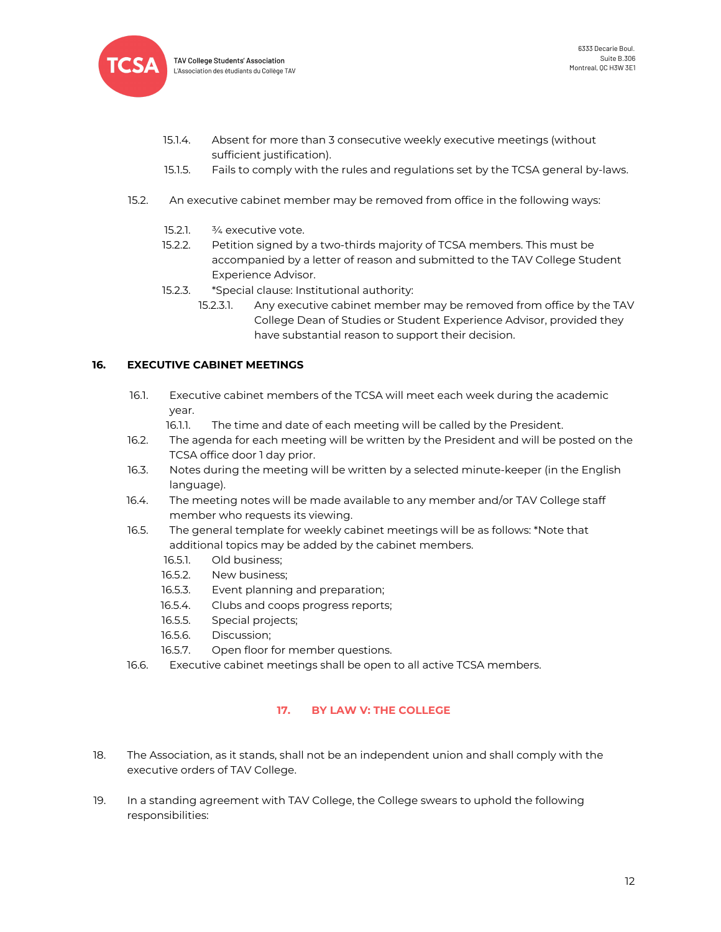

- 15.1.4. Absent for more than 3 consecutive weekly executive meetings (without sufficient justification).
- 15.1.5. Fails to comply with the rules and regulations set by the TCSA general by-laws.
- 15.2. An executive cabinet member may be removed from office in the following ways:
	- 15.2.1.  $\frac{3}{4}$  executive vote.
	- 15.2.2. Petition signed by a two-thirds majority of TCSA members. This must be accompanied by a letter of reason and submitted to the TAV College Student Experience Advisor.
	- 15.2.3. \*Special clause: Institutional authority:
		- 15.2.3.1. Any executive cabinet member may be removed from office by the TAV College Dean of Studies or Student Experience Advisor, provided they have substantial reason to support their decision.

## <span id="page-11-0"></span>**16. EXECUTIVE CABINET MEETINGS**

- 16.1. Executive cabinet members of the TCSA will meet each week during the academic year.
	- 16.1.1. The time and date of each meeting will be called by the President.
- 16.2. The agenda for each meeting will be written by the President and will be posted on the TCSA office door 1 day prior.
- 16.3. Notes during the meeting will be written by a selected minute-keeper (in the English language).
- 16.4. The meeting notes will be made available to any member and/or TAV College staff member who requests its viewing.
- 16.5. The general template for weekly cabinet meetings will be as follows: \*Note that additional topics may be added by the cabinet members.
	- 16.5.1. Old business;
	- 16.5.2. New business;
	- 16.5.3. Event planning and preparation;
	- 16.5.4. Clubs and coops progress reports;
	- 16.5.5. Special projects;
	- 16.5.6. Discussion;
	- 16.5.7. Open floor for member questions.
- 16.6. Executive cabinet meetings shall be open to all active TCSA members.

# **17. BY LAW V: THE COLLEGE**

- <span id="page-11-1"></span>18. The Association, as it stands, shall not be an independent union and shall comply with the executive orders of TAV College.
- 19. In a standing agreement with TAV College, the College swears to uphold the following responsibilities: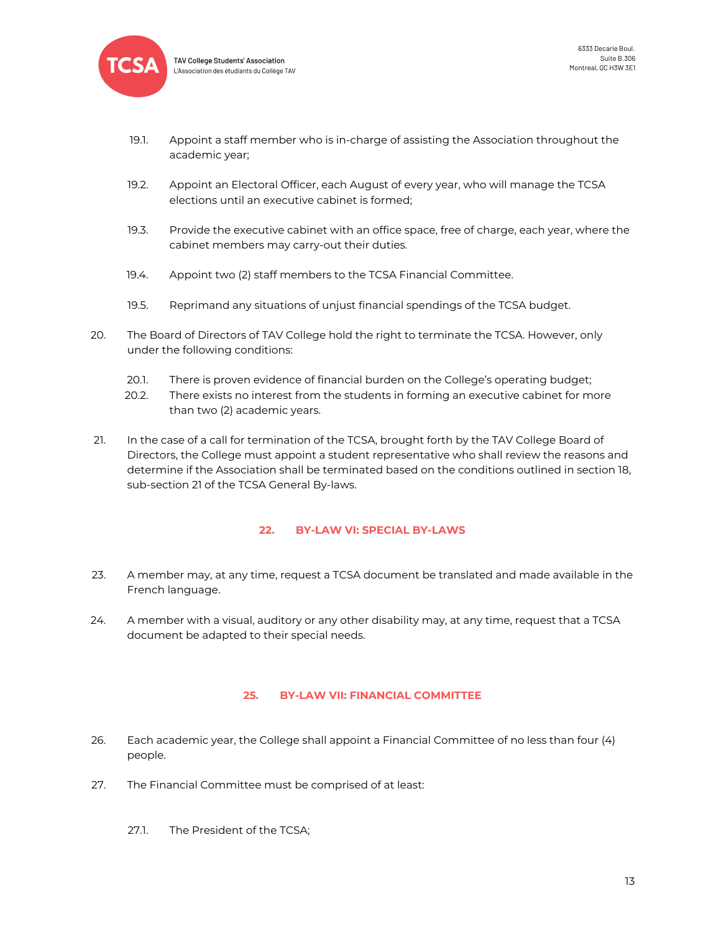

**TAV College Students' Association** L'Association des étudiants du Collège TAV

- 19.1. Appoint a staff member who is in-charge of assisting the Association throughout the academic year;
- 19.2. Appoint an Electoral Officer, each August of every year, who will manage the TCSA elections until an executive cabinet is formed;
- 19.3. Provide the executive cabinet with an office space, free of charge, each year, where the cabinet members may carry-out their duties.
- 19.4. Appoint two (2) staff members to the TCSA Financial Committee.
- 19.5. Reprimand any situations of unjust financial spendings of the TCSA budget.
- 20. The Board of Directors of TAV College hold the right to terminate the TCSA. However, only under the following conditions:
	- 20.1. There is proven evidence of financial burden on the College's operating budget;
	- 20.2. There exists no interest from the students in forming an executive cabinet for more than two (2) academic years.
- 21. In the case of a call for termination of the TCSA, brought forth by the TAV College Board of Directors, the College must appoint a student representative who shall review the reasons and determine if the Association shall be terminated based on the conditions outlined in section 18, sub-section 21 of the TCSA General By-laws.

## **22. BY-LAW VI: SPECIAL BY-LAWS**

- <span id="page-12-0"></span>23. A member may, at any time, request a TCSA document be translated and made available in the French language.
- 24. A member with a visual, auditory or any other disability may, at any time, request that a TCSA document be adapted to their special needs.

## **25. BY-LAW VII: FINANCIAL COMMITTEE**

- <span id="page-12-1"></span>26. Each academic year, the College shall appoint a Financial Committee of no less than four (4) people.
- 27. The Financial Committee must be comprised of at least:
	- 27.1. The President of the TCSA;